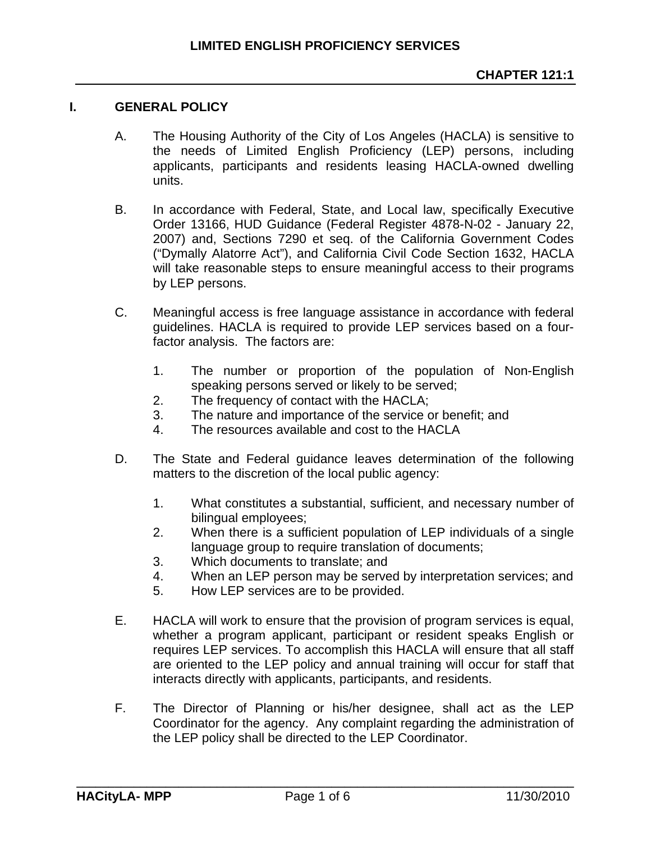## **I. GENERAL POLICY**

- A. The Housing Authority of the City of Los Angeles (HACLA) is sensitive to the needs of Limited English Proficiency (LEP) persons, including applicants, participants and residents leasing HACLA-owned dwelling units.
- B. In accordance with Federal, State, and Local law, specifically Executive Order 13166, HUD Guidance (Federal Register 4878-N-02 - January 22, 2007) and, Sections 7290 et seq. of the California Government Codes ("Dymally Alatorre Act"), and California Civil Code Section 1632, HACLA will take reasonable steps to ensure meaningful access to their programs by LEP persons.
- C. Meaningful access is free language assistance in accordance with federal guidelines. HACLA is required to provide LEP services based on a fourfactor analysis. The factors are:
	- 1. The number or proportion of the population of Non-English speaking persons served or likely to be served;
	- 2. The frequency of contact with the HACLA;
	- 3. The nature and importance of the service or benefit; and
	- 4. The resources available and cost to the HACLA
- D. The State and Federal guidance leaves determination of the following matters to the discretion of the local public agency:
	- 1. What constitutes a substantial, sufficient, and necessary number of bilingual employees;
	- 2. When there is a sufficient population of LEP individuals of a single language group to require translation of documents;
	- 3. Which documents to translate; and
	- 4. When an LEP person may be served by interpretation services; and
	- 5. How LEP services are to be provided.
- E. HACLA will work to ensure that the provision of program services is equal, whether a program applicant, participant or resident speaks English or requires LEP services. To accomplish this HACLA will ensure that all staff are oriented to the LEP policy and annual training will occur for staff that interacts directly with applicants, participants, and residents.
- F. The Director of Planning or his/her designee, shall act as the LEP Coordinator for the agency. Any complaint regarding the administration of the LEP policy shall be directed to the LEP Coordinator.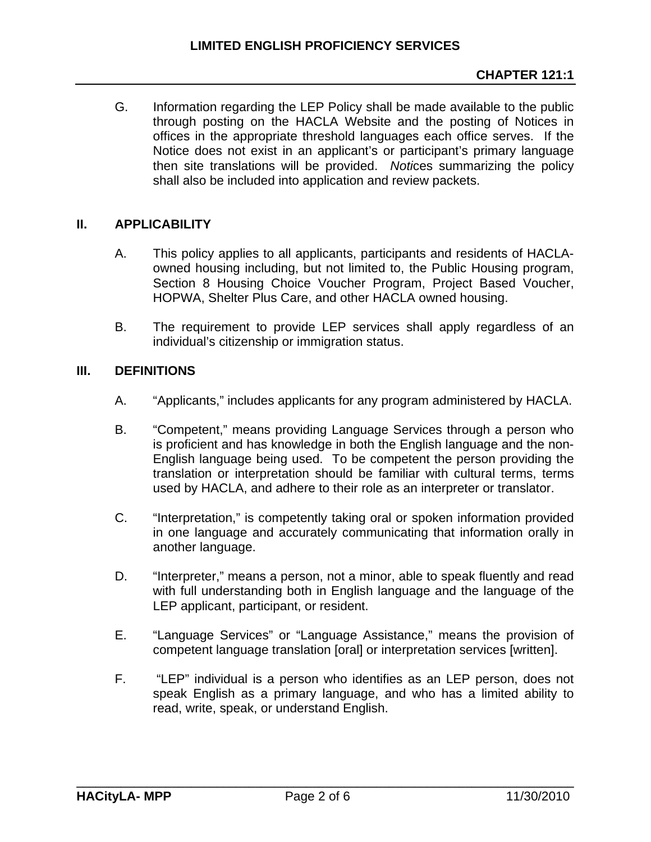G. Information regarding the LEP Policy shall be made available to the public through posting on the HACLA Website and the posting of Notices in offices in the appropriate threshold languages each office serves. If the Notice does not exist in an applicant's or participant's primary language then site translations will be provided. *Noti*ces summarizing the policy shall also be included into application and review packets.

# **II. APPLICABILITY**

- A. This policy applies to all applicants, participants and residents of HACLAowned housing including, but not limited to, the Public Housing program, Section 8 Housing Choice Voucher Program, Project Based Voucher, HOPWA, Shelter Plus Care, and other HACLA owned housing.
- B. The requirement to provide LEP services shall apply regardless of an individual's citizenship or immigration status.

## **III. DEFINITIONS**

- A. "Applicants," includes applicants for any program administered by HACLA.
- B. "Competent," means providing Language Services through a person who is proficient and has knowledge in both the English language and the non-English language being used. To be competent the person providing the translation or interpretation should be familiar with cultural terms, terms used by HACLA, and adhere to their role as an interpreter or translator.
- C. "Interpretation," is competently taking oral or spoken information provided in one language and accurately communicating that information orally in another language.
- D. "Interpreter," means a person, not a minor, able to speak fluently and read with full understanding both in English language and the language of the LEP applicant, participant, or resident.
- E. "Language Services" or "Language Assistance," means the provision of competent language translation [oral] or interpretation services [written].
- F. "LEP" individual is a person who identifies as an LEP person, does not speak English as a primary language, and who has a limited ability to read, write, speak, or understand English.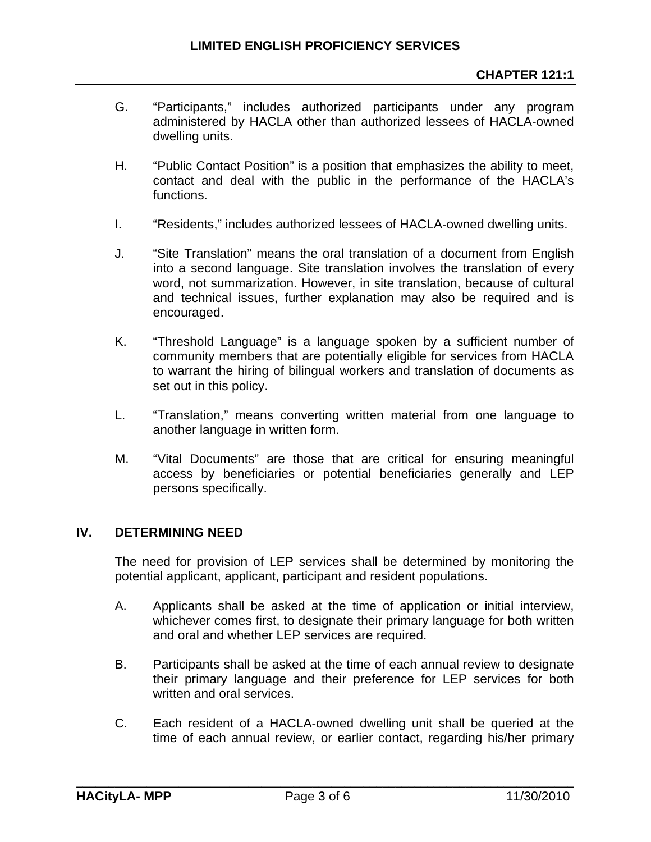- G. "Participants," includes authorized participants under any program administered by HACLA other than authorized lessees of HACLA-owned dwelling units.
- H. "Public Contact Position" is a position that emphasizes the ability to meet, contact and deal with the public in the performance of the HACLA's functions.
- I. "Residents," includes authorized lessees of HACLA-owned dwelling units.
- J. "Site Translation" means the oral translation of a document from English into a second language. Site translation involves the translation of every word, not summarization. However, in site translation, because of cultural and technical issues, further explanation may also be required and is encouraged.
- K. "Threshold Language" is a language spoken by a sufficient number of community members that are potentially eligible for services from HACLA to warrant the hiring of bilingual workers and translation of documents as set out in this policy.
- L. "Translation," means converting written material from one language to another language in written form.
- M. "Vital Documents" are those that are critical for ensuring meaningful access by beneficiaries or potential beneficiaries generally and LEP persons specifically.

#### **IV. DETERMINING NEED**

The need for provision of LEP services shall be determined by monitoring the potential applicant, applicant, participant and resident populations.

- A. Applicants shall be asked at the time of application or initial interview, whichever comes first, to designate their primary language for both written and oral and whether LEP services are required.
- B. Participants shall be asked at the time of each annual review to designate their primary language and their preference for LEP services for both written and oral services.
- C. Each resident of a HACLA-owned dwelling unit shall be queried at the time of each annual review, or earlier contact, regarding his/her primary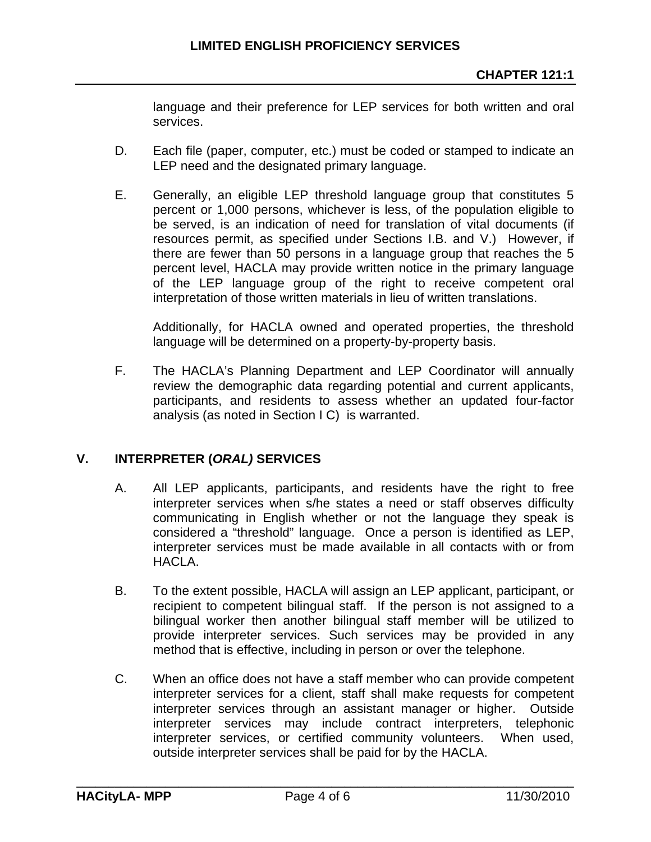language and their preference for LEP services for both written and oral services.

- D. Each file (paper, computer, etc.) must be coded or stamped to indicate an LEP need and the designated primary language.
- E. Generally, an eligible LEP threshold language group that constitutes 5 percent or 1,000 persons, whichever is less, of the population eligible to be served, is an indication of need for translation of vital documents (if resources permit, as specified under Sections I.B. and V.) However, if there are fewer than 50 persons in a language group that reaches the 5 percent level, HACLA may provide written notice in the primary language of the LEP language group of the right to receive competent oral interpretation of those written materials in lieu of written translations.

Additionally, for HACLA owned and operated properties, the threshold language will be determined on a property-by-property basis.

F. The HACLA's Planning Department and LEP Coordinator will annually review the demographic data regarding potential and current applicants, participants, and residents to assess whether an updated four-factor analysis (as noted in Section I C) is warranted.

# **V. INTERPRETER (***ORAL)* **SERVICES**

- A. All LEP applicants, participants, and residents have the right to free interpreter services when s/he states a need or staff observes difficulty communicating in English whether or not the language they speak is considered a "threshold" language. Once a person is identified as LEP, interpreter services must be made available in all contacts with or from HACLA.
- B. To the extent possible, HACLA will assign an LEP applicant, participant, or recipient to competent bilingual staff. If the person is not assigned to a bilingual worker then another bilingual staff member will be utilized to provide interpreter services. Such services may be provided in any method that is effective, including in person or over the telephone.
- C. When an office does not have a staff member who can provide competent interpreter services for a client, staff shall make requests for competent interpreter services through an assistant manager or higher. Outside interpreter services may include contract interpreters, telephonic interpreter services, or certified community volunteers. When used, outside interpreter services shall be paid for by the HACLA.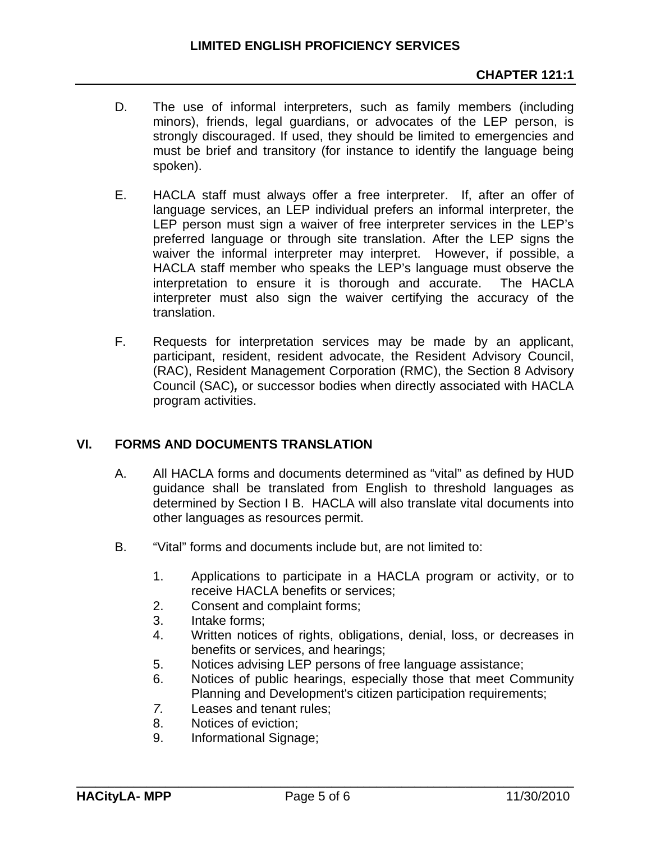- D. The use of informal interpreters, such as family members (including minors), friends, legal guardians, or advocates of the LEP person, is strongly discouraged. If used, they should be limited to emergencies and must be brief and transitory (for instance to identify the language being spoken).
- E. HACLA staff must always offer a free interpreter. If, after an offer of language services, an LEP individual prefers an informal interpreter, the LEP person must sign a waiver of free interpreter services in the LEP's preferred language or through site translation. After the LEP signs the waiver the informal interpreter may interpret. However, if possible, a HACLA staff member who speaks the LEP's language must observe the interpretation to ensure it is thorough and accurate. The HACLA interpreter must also sign the waiver certifying the accuracy of the translation.
- F. Requests for interpretation services may be made by an applicant, participant, resident, resident advocate, the Resident Advisory Council, (RAC), Resident Management Corporation (RMC), the Section 8 Advisory Council (SAC)*,* or successor bodies when directly associated with HACLA program activities.

# **VI. FORMS AND DOCUMENTS TRANSLATION**

- A. All HACLA forms and documents determined as "vital" as defined by HUD guidance shall be translated from English to threshold languages as determined by Section I B. HACLA will also translate vital documents into other languages as resources permit.
- B. "Vital" forms and documents include but, are not limited to:
	- 1. Applications to participate in a HACLA program or activity, or to receive HACLA benefits or services;
	- 2. Consent and complaint forms;
	- 3. Intake forms;
	- 4. Written notices of rights, obligations, denial, loss, or decreases in benefits or services, and hearings;
	- 5. Notices advising LEP persons of free language assistance;
	- 6. Notices of public hearings, especially those that meet Community Planning and Development's citizen participation requirements;
	- *7.* Leases and tenant rules;
	- 8. Notices of eviction;
	- 9. Informational Signage;